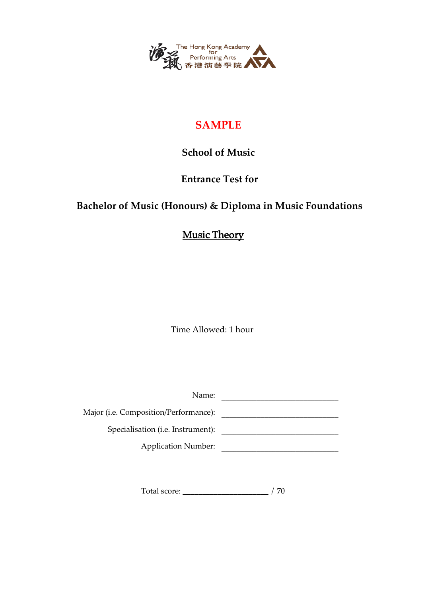

### **SAMPLE**

#### **School of Music**

#### **Entrance Test for**

## **Bachelor of Music (Honours) & Diploma in Music Foundations**

## Music Theory

Time Allowed: 1 hour

| Name:                                 |  |
|---------------------------------------|--|
| Major (i.e. Composition/Performance): |  |
| Specialisation (i.e. Instrument):     |  |
| <b>Application Number:</b>            |  |
|                                       |  |

Total score: \_\_\_\_\_\_\_\_\_\_\_\_\_\_\_\_\_\_\_\_\_\_ / 70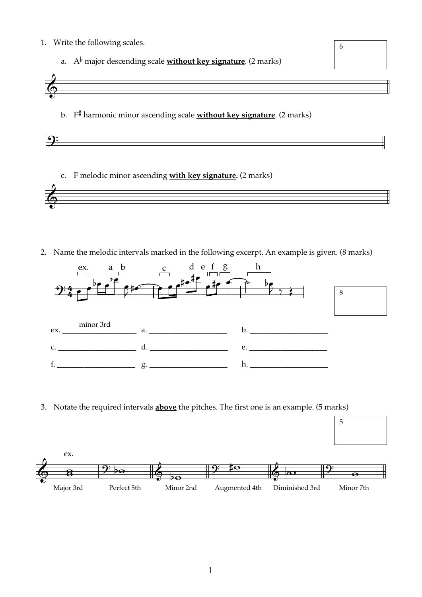- 1. Write the following scales.
	- a. A<sup>b</sup> major descending scale **without key signature**. (2 marks)



6

5

b.  $F^{\sharp}$  harmonic minor ascending scale without key signature. (2 marks)



c. F melodic minor ascending with key signature. (2 marks)



2. Name the melodic intervals marked in the following excerpt. An example is given. (8 marks)



3. Notate the required intervals above the pitches. The first one is an example. (5 marks)

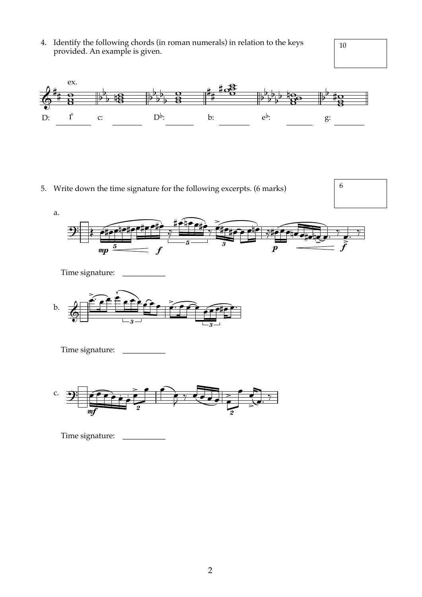4. Identify the following chords (in roman numerals) in relation to the keys provided. An example is given.<br>

# 10

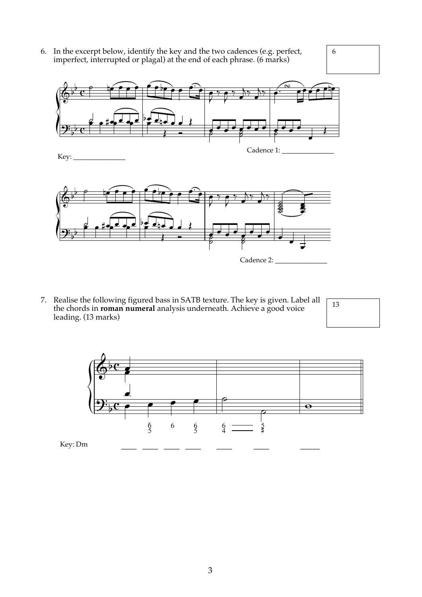6. In the excerpt below, identify the key and the two cadences (e.g. perfect, imperfect, interrupted or plagal) at the end of each phrase. (6 marks)



6



Key:



7. Realise the following figured bass in SATB texture. The key is given. Label all Realise the following figured bass in SATB texture. The key is given. Label all  $\sqrt{13}$ <br>the chords in **roman numeral** analysis underneath. Achieve a good voice leading. (13 marks)

13